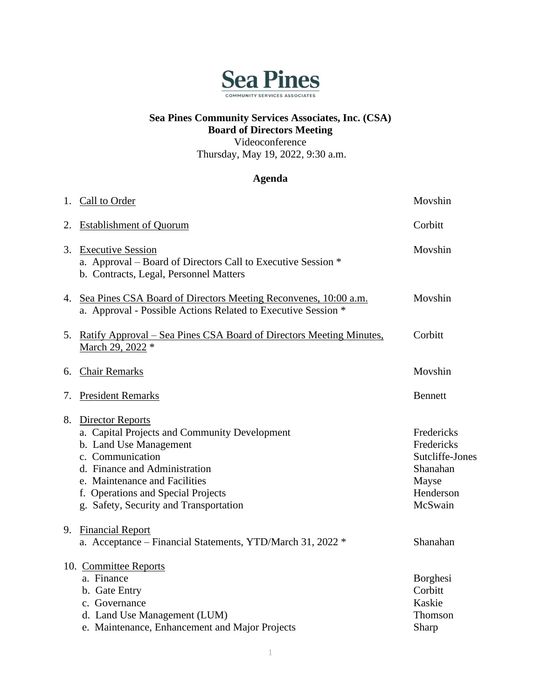

## **Sea Pines Community Services Associates, Inc. (CSA) Board of Directors Meeting**

Videoconference

Thursday, May 19, 2022, 9:30 a.m.

## **Agenda**

|    | 1. Call to Order                                                                                                                                                                                                                                                     | Movshin                                                                                  |
|----|----------------------------------------------------------------------------------------------------------------------------------------------------------------------------------------------------------------------------------------------------------------------|------------------------------------------------------------------------------------------|
| 2. | <b>Establishment of Quorum</b>                                                                                                                                                                                                                                       | Corbitt                                                                                  |
| 3. | <b>Executive Session</b><br>a. Approval - Board of Directors Call to Executive Session *<br>b. Contracts, Legal, Personnel Matters                                                                                                                                   | Movshin                                                                                  |
|    | 4. Sea Pines CSA Board of Directors Meeting Reconvenes, 10:00 a.m.<br>a. Approval - Possible Actions Related to Executive Session *                                                                                                                                  | Movshin                                                                                  |
|    | 5. Ratify Approval – Sea Pines CSA Board of Directors Meeting Minutes,<br>March 29, 2022 *                                                                                                                                                                           | Corbitt                                                                                  |
|    | 6. Chair Remarks                                                                                                                                                                                                                                                     | Movshin                                                                                  |
| 7. | <b>President Remarks</b>                                                                                                                                                                                                                                             | <b>Bennett</b>                                                                           |
|    | 8. Director Reports<br>a. Capital Projects and Community Development<br>b. Land Use Management<br>c. Communication<br>d. Finance and Administration<br>e. Maintenance and Facilities<br>f. Operations and Special Projects<br>g. Safety, Security and Transportation | Fredericks<br>Fredericks<br>Sutcliffe-Jones<br>Shanahan<br>Mayse<br>Henderson<br>McSwain |
| 9. | <b>Financial Report</b><br>a. Acceptance – Financial Statements, YTD/March 31, 2022 *                                                                                                                                                                                | Shanahan                                                                                 |
|    | 10. Committee Reports<br>a. Finance<br>b. Gate Entry<br>c. Governance<br>d. Land Use Management (LUM)<br>e. Maintenance, Enhancement and Major Projects                                                                                                              | Borghesi<br>Corbitt<br>Kaskie<br>Thomson<br>Sharp                                        |